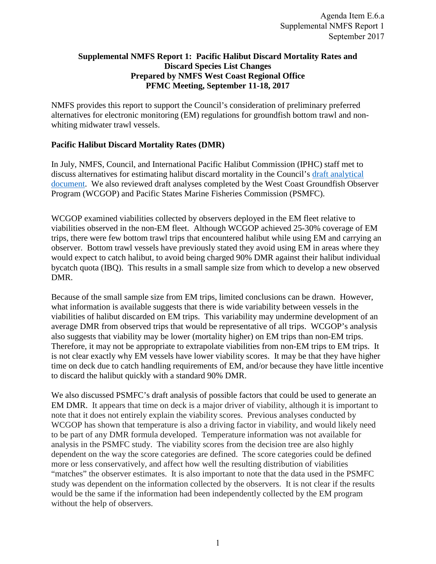### **Supplemental NMFS Report 1: Pacific Halibut Discard Mortality Rates and Discard Species List Changes Prepared by NMFS West Coast Regional Office PFMC Meeting, September 11-18, 2017**

NMFS provides this report to support the Council's consideration of preliminary preferred alternatives for electronic monitoring (EM) regulations for groundfish bottom trawl and nonwhiting midwater trawl vessels.

# **Pacific Halibut Discard Mortality Rates (DMR)**

In July, NMFS, Council, and International Pacific Halibut Commission (IPHC) staff met to discuss alternatives for estimating halibut discard mortality in the Council's draft [analytical](http://www.pcouncil.org/wp-content/uploads/2017/03/F2_Att1_EM_Analysis_ElectricOnly_APR2017BB.pdf) [document.](http://www.pcouncil.org/wp-content/uploads/2017/03/F2_Att1_EM_Analysis_ElectricOnly_APR2017BB.pdf) We also reviewed draft analyses completed by the West Coast Groundfish Observer Program (WCGOP) and Pacific States Marine Fisheries Commission (PSMFC).

WCGOP examined viabilities collected by observers deployed in the EM fleet relative to viabilities observed in the non-EM fleet. Although WCGOP achieved 25-30% coverage of EM trips, there were few bottom trawl trips that encountered halibut while using EM and carrying an observer. Bottom trawl vessels have previously stated they avoid using EM in areas where they would expect to catch halibut, to avoid being charged 90% DMR against their halibut individual bycatch quota (IBQ). This results in a small sample size from which to develop a new observed DMR.

Because of the small sample size from EM trips, limited conclusions can be drawn. However, what information is available suggests that there is wide variability between vessels in the viabilities of halibut discarded on EM trips. This variability may undermine development of an average DMR from observed trips that would be representative of all trips. WCGOP's analysis also suggests that viability may be lower (mortality higher) on EM trips than non-EM trips. Therefore, it may not be appropriate to extrapolate viabilities from non-EM trips to EM trips. It is not clear exactly why EM vessels have lower viability scores. It may be that they have higher time on deck due to catch handling requirements of EM, and/or because they have little incentive to discard the halibut quickly with a standard 90% DMR.

We also discussed PSMFC's draft analysis of possible factors that could be used to generate an EM DMR. It appears that time on deck is a major driver of viability, although it is important to note that it does not entirely explain the viability scores. Previous analyses conducted by WCGOP has shown that temperature is also a driving factor in viability, and would likely need to be part of any DMR formula developed. Temperature information was not available for analysis in the PSMFC study. The viability scores from the decision tree are also highly dependent on the way the score categories are defined. The score categories could be defined more or less conservatively, and affect how well the resulting distribution of viabilities "matches" the observer estimates. It is also important to note that the data used in the PSMFC study was dependent on the information collected by the observers. It is not clear if the results would be the same if the information had been independently collected by the EM program without the help of observers.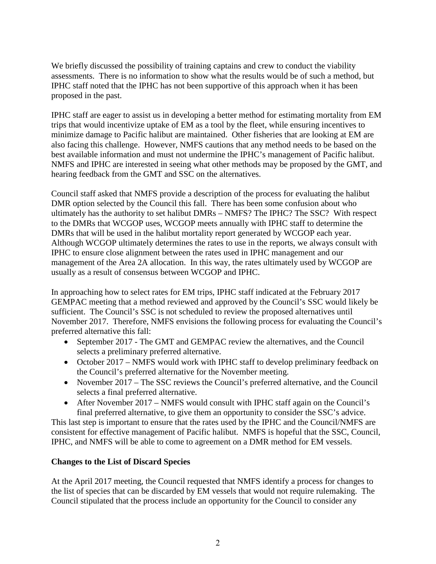We briefly discussed the possibility of training captains and crew to conduct the viability assessments. There is no information to show what the results would be of such a method, but IPHC staff noted that the IPHC has not been supportive of this approach when it has been proposed in the past.

IPHC staff are eager to assist us in developing a better method for estimating mortality from EM trips that would incentivize uptake of EM as a tool by the fleet, while ensuring incentives to minimize damage to Pacific halibut are maintained. Other fisheries that are looking at EM are also facing this challenge. However, NMFS cautions that any method needs to be based on the best available information and must not undermine the IPHC's management of Pacific halibut. NMFS and IPHC are interested in seeing what other methods may be proposed by the GMT, and hearing feedback from the GMT and SSC on the alternatives.

Council staff asked that NMFS provide a description of the process for evaluating the halibut DMR option selected by the Council this fall. There has been some confusion about who ultimately has the authority to set halibut DMRs – NMFS? The IPHC? The SSC? With respect to the DMRs that WCGOP uses, WCGOP meets annually with IPHC staff to determine the DMRs that will be used in the halibut mortality report generated by WCGOP each year. Although WCGOP ultimately determines the rates to use in the reports, we always consult with IPHC to ensure close alignment between the rates used in IPHC management and our management of the Area 2A allocation. In this way, the rates ultimately used by WCGOP are usually as a result of consensus between WCGOP and IPHC. equalities und crew to conduct the viability<br>
that the results would be of such a method, but<br>
plotter or this approach when it has been<br>
better method for estimating mortality from EM<br>
old . Other fisheries that are looki

In approaching how to select rates for EM trips, IPHC staff indicated at the February 2017 GEMPAC meeting that a method reviewed and approved by the Council's SSC would likely be sufficient. The Council's SSC is not scheduled to review the proposed alternatives until November 2017. Therefore, NMFS envisions the following process for evaluating the Council's preferred alternative this fall:

- September 2017 The GMT and GEMPAC review the alternatives, and the Council selects a preliminary preferred alternative.
- October 2017 NMFS would work with IPHC staff to develop preliminary feedback on the Council's preferred alternative for the November meeting.
- November 2017 The SSC reviews the Council's preferred alternative, and the Council selects a final preferred alternative.
- After November 2017 NMFS would consult with IPHC staff again on the Council's final preferred alternative, to give them an opportunity to consider the SSC's advice.

This last step is important to ensure that the rates used by the IPHC and the Council/NMFS are consistent for effective management of Pacific halibut. NMFS is hopeful that the SSC, Council, IPHC, and NMFS will be able to come to agreement on a DMR method for EM vessels.

# **Changes to the List of Discard Species**

At the April 2017 meeting, the Council requested that NMFS identify a process for changes to the list of species that can be discarded by EM vessels that would not require rulemaking. The Council stipulated that the process include an opportunity for the Council to consider any